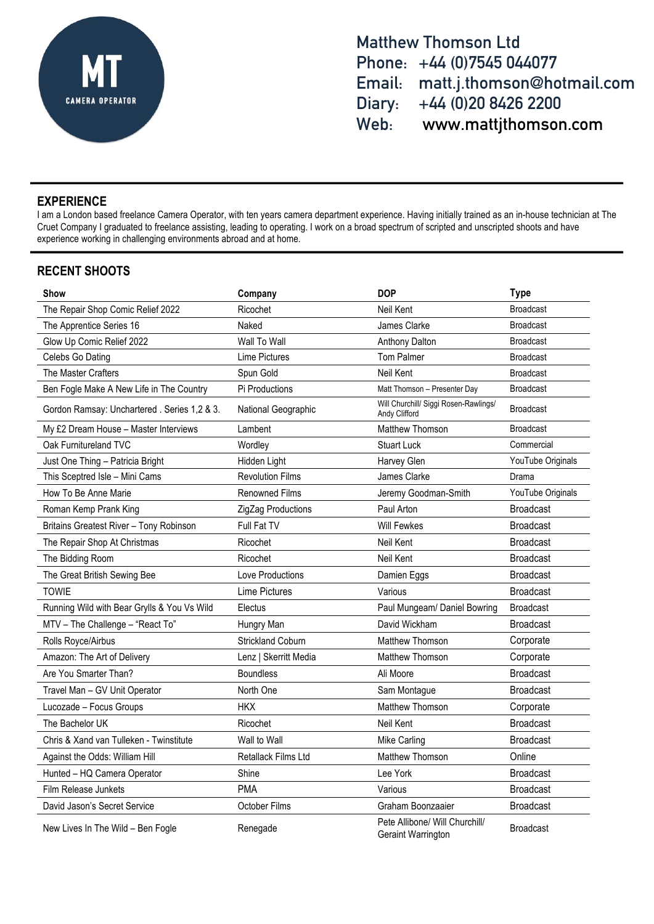

**Matthew Thomson Ltd Phone: +44 (0)7545 044077 Email: matt.j.thomson@hotmail.com Diary: +44 (0)20 8426 2200 Web: www.mattjthomson.com**

# **EXPERIENCE**

I am a London based freelance Camera Operator, with ten years camera department experience. Having initially trained as an in-house technician at The Cruet Company I graduated to freelance assisting, leading to operating. I work on a broad spectrum of scripted and unscripted shoots and have experience working in challenging environments abroad and at home.

# **RECENT SHOOTS**

| Show                                         | Company                  | <b>DOP</b>                                             | <b>Type</b>       |
|----------------------------------------------|--------------------------|--------------------------------------------------------|-------------------|
| The Repair Shop Comic Relief 2022            | Ricochet                 | Neil Kent                                              | <b>Broadcast</b>  |
| The Apprentice Series 16                     | Naked                    | James Clarke                                           | <b>Broadcast</b>  |
| Glow Up Comic Relief 2022                    | Wall To Wall             | Anthony Dalton                                         | <b>Broadcast</b>  |
| Celebs Go Dating                             | Lime Pictures            | Tom Palmer                                             | <b>Broadcast</b>  |
| The Master Crafters                          | Spun Gold                | Neil Kent                                              | <b>Broadcast</b>  |
| Ben Fogle Make A New Life in The Country     | Pi Productions           | Matt Thomson - Presenter Day                           | <b>Broadcast</b>  |
| Gordon Ramsay: Unchartered . Series 1,2 & 3. | National Geographic      | Will Churchill/ Siggi Rosen-Rawlings/<br>Andy Clifford | <b>Broadcast</b>  |
| My £2 Dream House - Master Interviews        | Lambent                  | Matthew Thomson                                        | <b>Broadcast</b>  |
| Oak Furnitureland TVC                        | Wordley                  | <b>Stuart Luck</b>                                     | Commercial        |
| Just One Thing - Patricia Bright             | Hidden Light             | Harvey Glen                                            | YouTube Originals |
| This Sceptred Isle - Mini Cams               | <b>Revolution Films</b>  | James Clarke                                           | Drama             |
| How To Be Anne Marie                         | <b>Renowned Films</b>    | Jeremy Goodman-Smith                                   | YouTube Originals |
| Roman Kemp Prank King                        | ZigZag Productions       | Paul Arton                                             | <b>Broadcast</b>  |
| Britains Greatest River - Tony Robinson      | Full Fat TV              | <b>Will Fewkes</b>                                     | <b>Broadcast</b>  |
| The Repair Shop At Christmas                 | Ricochet                 | Neil Kent                                              | <b>Broadcast</b>  |
| The Bidding Room                             | Ricochet                 | Neil Kent                                              | <b>Broadcast</b>  |
| The Great British Sewing Bee                 | Love Productions         | Damien Eggs                                            | <b>Broadcast</b>  |
| <b>TOWIE</b>                                 | <b>Lime Pictures</b>     | Various                                                | <b>Broadcast</b>  |
| Running Wild with Bear Grylls & You Vs Wild  | Electus                  | Paul Mungeam/ Daniel Bowring                           | <b>Broadcast</b>  |
| MTV - The Challenge - "React To"             | Hungry Man               | David Wickham                                          | <b>Broadcast</b>  |
| Rolls Royce/Airbus                           | <b>Strickland Coburn</b> | Matthew Thomson                                        | Corporate         |
| Amazon: The Art of Delivery                  | Lenz   Skerritt Media    | Matthew Thomson                                        | Corporate         |
| Are You Smarter Than?                        | <b>Boundless</b>         | Ali Moore                                              | <b>Broadcast</b>  |
| Travel Man - GV Unit Operator                | North One                | Sam Montague                                           | <b>Broadcast</b>  |
| Lucozade - Focus Groups                      | <b>HKX</b>               | <b>Matthew Thomson</b>                                 | Corporate         |
| The Bachelor UK                              | Ricochet                 | Neil Kent                                              | <b>Broadcast</b>  |
| Chris & Xand van Tulleken - Twinstitute      | Wall to Wall             | Mike Carling                                           | <b>Broadcast</b>  |
| Against the Odds: William Hill               | Retallack Films Ltd      | <b>Matthew Thomson</b>                                 | Online            |
| Hunted - HQ Camera Operator                  | Shine                    | Lee York                                               | <b>Broadcast</b>  |
| <b>Film Release Junkets</b>                  | <b>PMA</b>               | Various                                                | <b>Broadcast</b>  |
| David Jason's Secret Service                 | October Films            | Graham Boonzaaier                                      | <b>Broadcast</b>  |
| New Lives In The Wild - Ben Fogle            | Renegade                 | Pete Allibone/ Will Churchill/<br>Geraint Warrington   | <b>Broadcast</b>  |